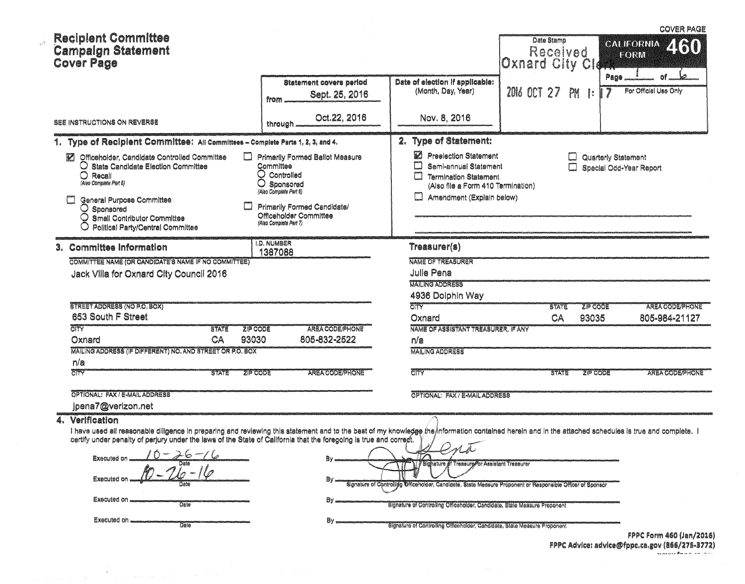| <b>Reciplent Committee</b><br><b>Campalgn Statement</b><br><b>Cover Page</b>                                                                                                                                                                                                                                                                                                                                              |                                                                                                                                                                                                 |                                                                                                                                                                                                                                                                                                                         | Date Stamp<br>Received<br>Oxnard City CId |                                    | <b>COVER PAGE</b><br>2160<br><b>CALIFORNIA</b><br>FORM |
|---------------------------------------------------------------------------------------------------------------------------------------------------------------------------------------------------------------------------------------------------------------------------------------------------------------------------------------------------------------------------------------------------------------------------|-------------------------------------------------------------------------------------------------------------------------------------------------------------------------------------------------|-------------------------------------------------------------------------------------------------------------------------------------------------------------------------------------------------------------------------------------------------------------------------------------------------------------------------|-------------------------------------------|------------------------------------|--------------------------------------------------------|
|                                                                                                                                                                                                                                                                                                                                                                                                                           | <b>Statement covers period</b><br>Sept. 25, 2016<br>from                                                                                                                                        | Date of election if applicable:<br>(Month, Day, Year)                                                                                                                                                                                                                                                                   | <b>2016 OCT 27</b>                        | Page<br>PM<br>$\ddot{\phantom{a}}$ | For Official Use Only                                  |
| <b>SEE INSTRUCTIONS ON REVERSE</b>                                                                                                                                                                                                                                                                                                                                                                                        | Oct.22, 2016<br>through                                                                                                                                                                         | Nov. 8, 2016                                                                                                                                                                                                                                                                                                            |                                           |                                    |                                                        |
| 1. Type of Recipient Committee: All Committees - Complete Parts 1, 2, 3, and 4.                                                                                                                                                                                                                                                                                                                                           |                                                                                                                                                                                                 | 2. Type of Statement:                                                                                                                                                                                                                                                                                                   |                                           |                                    |                                                        |
| Officeholder, Candidate Controlled Committee<br>Ø<br>⊔<br>O State Candidate Election Committee<br>O<br>Recall<br>(Also Complete Part 5)<br>O<br>General Purpose Committee<br>$\bigcirc$ Sponsored<br>O<br>Small Contributor Committee<br>Political Party/Central Committee                                                                                                                                                | Primarily Formed Ballot Measure<br>Committee<br>$\bigcirc$ Controlled<br>Sponsored<br>(Also Complete Part 6)<br>Primarily Formed Candidate/<br>Officeholder Committee<br>(Alao Complete Part 7) | M<br><b>Preelection Statement</b><br>Semi-annual Statement<br>$\Box$<br><b>Termination Statement</b><br>(Also file a Form 410 Termination)<br>Amendment (Explain below)<br>$\Box$                                                                                                                                       |                                           | Quarterly Statement<br>لىيا        | Special Odd-Year Report                                |
| 3. Committee information                                                                                                                                                                                                                                                                                                                                                                                                  | <b>I.D. NUMBER</b><br>1387088                                                                                                                                                                   | Treasurer(s)                                                                                                                                                                                                                                                                                                            |                                           |                                    |                                                        |
| COMMITTEE NAME (OR CANDIDATE'S NAME IF NO COMMITTEE)<br>Jack Villa for Oxnard City Council 2016<br>STREET ADDRESS (NO P.O. BOX)<br>653 South F Street                                                                                                                                                                                                                                                                     |                                                                                                                                                                                                 | <b>NAME OF TREASURER</b><br><b>Julie Pena</b><br><b>MAILING ADDRESS</b><br>4936 Dolphin Way<br><b>CITY</b><br>Oxnard                                                                                                                                                                                                    | STATE<br>CA                               | <b>ZIP CODE</b><br>93035           | AREA CODE/PHONE<br>805-984-21127                       |
| <b>CITY</b><br><b>ZIP CODE</b><br><b>STATE</b><br>CA<br>93030<br>Oxnard                                                                                                                                                                                                                                                                                                                                                   | AREA CODE/PHONE<br>805-832-2522                                                                                                                                                                 | NAME OF ASSISTANT TREASURER, IF ANY<br>n/a                                                                                                                                                                                                                                                                              |                                           |                                    |                                                        |
| MAILING ADDRESS (IF DIFFERENT) NO. AND STREET OR P.O. BOX                                                                                                                                                                                                                                                                                                                                                                 |                                                                                                                                                                                                 | <b>MAILING ADDRESS</b>                                                                                                                                                                                                                                                                                                  |                                           |                                    |                                                        |
| n/a<br><b>EITY</b><br><b>SIE CODE</b><br><b>STATE</b>                                                                                                                                                                                                                                                                                                                                                                     | AREA CODE/PHONE                                                                                                                                                                                 | <b>CITY</b>                                                                                                                                                                                                                                                                                                             | <b>STATE</b>                              | <b>SIP CODE</b>                    | AREA CODE/PHONE                                        |
| OPTIONAL: FAX / E-MAIL ADDRESS<br>jpena7@verizon.net                                                                                                                                                                                                                                                                                                                                                                      |                                                                                                                                                                                                 | OPTIONAL: FAX / E-MAIL ADDRESS                                                                                                                                                                                                                                                                                          |                                           |                                    |                                                        |
| 4. Verification<br>I have used all reasonable diligence in preparing and reviewing this statement and to the best of my knowledge the information contained herein and in the attached schedules is true and complete. I<br>certify under penalty of perjury under the laws of the State of California that the foregoing is true and correct.<br>Executed on<br>Executed o<br>Executed on<br>Date<br>Executed on<br>Date | ₿y                                                                                                                                                                                              | / Sighature of Treasure or Assistant Treasurer<br>Signature of Controlling Officeholder, Candidate, State Measure Proponent or Responsible Officer of Sponsor<br>Signature of Controlling Officeholder, Candidate, State Measure Proponent<br>Signature of Controlling Officeholder, Candidate, State Measure Proponent |                                           |                                    |                                                        |

 $\omega^{\rm sp}$ 

 $\sim 0.1$ 

 $\epsilon$ 

FPPC Form 460 (Jan/2016) FPPC Advice: advice@fppc.ca.gov (866/275-3772)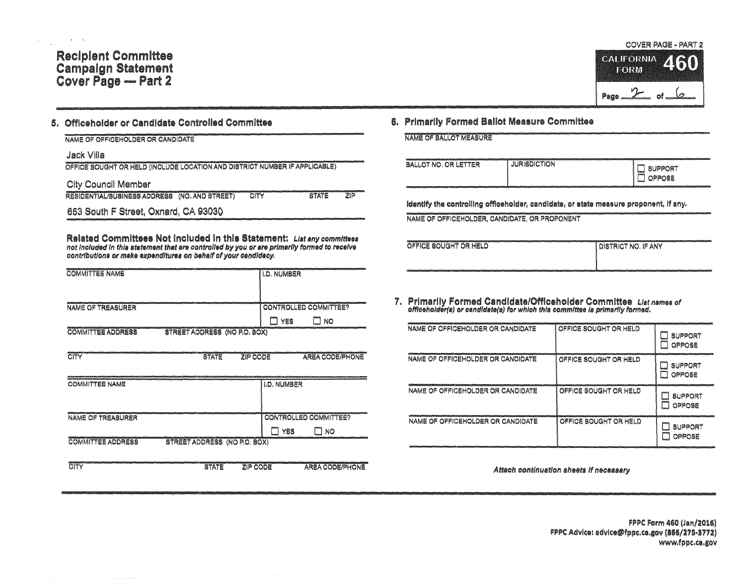# **Recipient Committee** Campaign Statement<br>Cover Page — Part 2

#### Officeholder or Candidate Controlled Committee 岛.

NAME OF OFFICEHOLDER OR CANDIDATE

Jack Villa

OFFICE SOUGHT OR HELD (INCLUDE LOCATION AND DISTRICT NUMBER IF APPLICABLE)

**City Council Member** 

RESIDENTIAL/BUSINESS ADDRESS (NO. AND STREET)  $\overline{\text{CITY}}$ **STATE**  $7|D$ 

653 South F Street, Oxnard, CA 93030

Related Committees Not included in this Statement: List any committees not included in this statement that are controlled by you or are primarily formed to receive contributions or make expenditures on behalf of your candidacy.

| and contract the contract of the contract of the contract of the contract of contract of the contract of the contract of the contract of the contract of the contract of the contract of the contract of the contract of the c<br><b>COMMITTEE NAME</b> | <b>II.D. NUMBER</b>   | model in contract and in contract and in the state of the contract of the contract |
|---------------------------------------------------------------------------------------------------------------------------------------------------------------------------------------------------------------------------------------------------------|-----------------------|------------------------------------------------------------------------------------|
|                                                                                                                                                                                                                                                         |                       |                                                                                    |
| <b>NAME OF TREASURER</b>                                                                                                                                                                                                                                | CONTROLLED COMMITTEE? |                                                                                    |
|                                                                                                                                                                                                                                                         | YES                   | NO                                                                                 |
| STREET ADDRESS (NO P.O. BOX)<br><b>COMMITTEE ADDRESS</b>                                                                                                                                                                                                |                       |                                                                                    |
|                                                                                                                                                                                                                                                         |                       |                                                                                    |

| CITY                     | <b>STATE</b>                        | ZIP CODE           | <b>AREA CODE/PHONE</b>             |
|--------------------------|-------------------------------------|--------------------|------------------------------------|
| <b>COMMITTEE NAME</b>    |                                     | <b>I.D. NUMBER</b> |                                    |
| <b>NAME OF TREASURER</b> |                                     | YES                | <b>CONTROLLED COMMITTEE?</b><br>NO |
| <b>COMMITTEE ADDRESS</b> | <b>STREET ADDRESS (NO P.O. BOX)</b> |                    |                                    |
| CITY                     | <b>STATE</b>                        | ZIP CODE           | <b>AREA CODE/PHONE</b>             |

## **COVER PAGE - PART 2 CALIFORNIA TORW** Page  $2$  of

#### 6. Primarily Formed Ballot Measure Committee

NAME OF BALLOT MEASURE

| <b>CONTINUES</b><br>BALLOT NO. OR LETTER | The Economic Contemporary of the contemporary and the contemporary of the contemporary of the contemporary of<br><b>JURISDICTION</b> | viiminesteristristestelikunteiste konsultatuen saltaa on vaihteem 1999 metallikunteiduksi metallikunte (2007) esimeril<br><b>SUPPORT</b><br>H<br><b>Classic</b><br><b>OPPOSE</b><br>لسدا |
|------------------------------------------|--------------------------------------------------------------------------------------------------------------------------------------|------------------------------------------------------------------------------------------------------------------------------------------------------------------------------------------|
|                                          |                                                                                                                                      |                                                                                                                                                                                          |

identify the controlling officehoider, candidate, or state measure proponent, if any.

NAME OF OFFICEHOLDER, CANDIDATE, OR PROPONENT

| OFFICE SOUGHT OR HELD | I DISTRICT NO. IF ANY |
|-----------------------|-----------------------|
|                       |                       |

7. Primarily Formed Candidate/Officeholder Committee List names of officeholder(s) or candidate(s) for which this committee is primarily formed.

| NAME OF OFFICEHOLDER OR CANDIDATE | OFFICE SOUGHT OR HELD | <b>SUPPORT</b><br>OPPOSE |
|-----------------------------------|-----------------------|--------------------------|
| NAME OF OFFICEHOLDER OR CANDIDATE | OFFICE SOUGHT OR HELD | <b>SUPPORT</b><br>OPPOSE |
| NAME OF OFFICEHOLDER OR CANDIDATE | OFFICE SOUGHT OR HELD | <b>SUPPORT</b><br>OPPOSE |
| NAME OF OFFICEHOLDER OR CANDIDATE | OFFICE SOUGHT OR HELD | <b>SUPPORT</b><br>OPPOSE |

Attach continuation sheets if necessary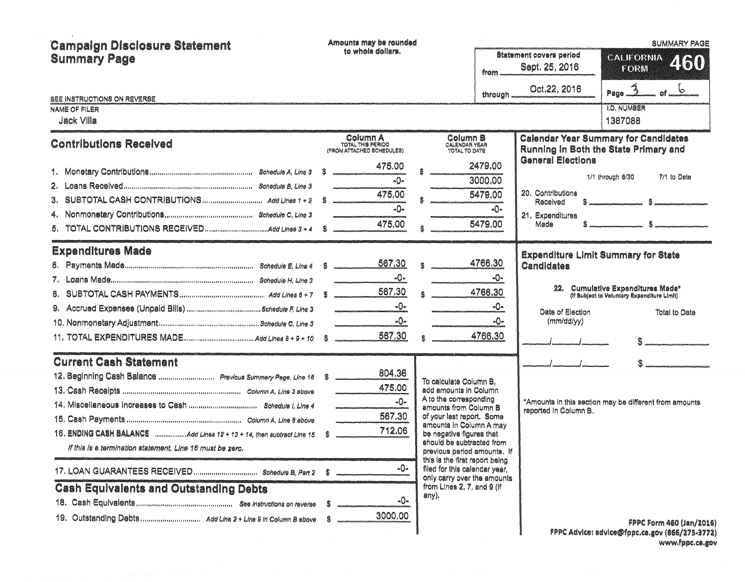| <b>Campaign Disclosure Statement</b><br><b>Summary Page</b>                                                                                                 |    | Amounts may be rounded<br>to whole dollars.                                                                                                                                                                                                                                                                                                                                                                                                                                                                                               | from -                                                                                                                                                                                                                                                                               | Statement covers period<br>Sept. 25, 2016                                             | <b>SUMMARY PAGE</b><br><b>CALIFORNIA</b><br>460<br><b>FORM</b>                                                                                                                                   |  |  |
|-------------------------------------------------------------------------------------------------------------------------------------------------------------|----|-------------------------------------------------------------------------------------------------------------------------------------------------------------------------------------------------------------------------------------------------------------------------------------------------------------------------------------------------------------------------------------------------------------------------------------------------------------------------------------------------------------------------------------------|--------------------------------------------------------------------------------------------------------------------------------------------------------------------------------------------------------------------------------------------------------------------------------------|---------------------------------------------------------------------------------------|--------------------------------------------------------------------------------------------------------------------------------------------------------------------------------------------------|--|--|
| SEE INSTRUCTIONS ON REVERSE                                                                                                                                 |    |                                                                                                                                                                                                                                                                                                                                                                                                                                                                                                                                           | through.                                                                                                                                                                                                                                                                             | Oct.22, 2016                                                                          | Page $\hat{3}$<br>6                                                                                                                                                                              |  |  |
| <b>NAME OF FILER</b><br>Jack Villa                                                                                                                          |    |                                                                                                                                                                                                                                                                                                                                                                                                                                                                                                                                           |                                                                                                                                                                                                                                                                                      |                                                                                       | <b>I.D. NUMBER</b><br>1387088                                                                                                                                                                    |  |  |
| <b>Contributions Received</b>                                                                                                                               |    | Column A<br>TOTAL THIS PERIOD<br>(FROM ATTACHED SCHEDULES)                                                                                                                                                                                                                                                                                                                                                                                                                                                                                | Column B<br><b>CALENDAR YEAR</b><br><b>TOTAL TO DATE</b>                                                                                                                                                                                                                             |                                                                                       | <b>Calendar Year Summary for Candidates</b><br>Running in Both the State Primary and                                                                                                             |  |  |
|                                                                                                                                                             | -S | 475.00<br>$-\Omega$<br>475.00<br>$-0-$<br>475.00                                                                                                                                                                                                                                                                                                                                                                                                                                                                                          | 2479.00<br>3000.00<br>5479.00<br>-0-<br>5479.00                                                                                                                                                                                                                                      | <b>General Elections</b><br>20. Contributions<br>Received<br>21. Expenditures<br>Made | 1/1 through 6/30<br>7/1 to Date<br>$s = 1$<br>$s$ $s$                                                                                                                                            |  |  |
| <b>Expenditures Made</b>                                                                                                                                    |    | 567.30<br>-0-<br>567.30<br>-0-<br>-0-<br>$\begin{array}{cccccccccccccc} \multicolumn{2}{c}{} & \multicolumn{2}{c}{} & \multicolumn{2}{c}{} & \multicolumn{2}{c}{} & \multicolumn{2}{c}{} & \multicolumn{2}{c}{} & \multicolumn{2}{c}{} & \multicolumn{2}{c}{} & \multicolumn{2}{c}{} & \multicolumn{2}{c}{} & \multicolumn{2}{c}{} & \multicolumn{2}{c}{} & \multicolumn{2}{c}{} & \multicolumn{2}{c}{} & \multicolumn{2}{c}{} & \multicolumn{2}{c}{} & \multicolumn{2}{c}{} & \multicolumn{2}{c}{} & \multicolumn{2}{c}{} & \$<br>567.30 | 4766.30<br>-0−<br>4766.30<br>-0-<br>-0−<br>4766.30                                                                                                                                                                                                                                   | <b>Candidates</b><br>Date of Election<br>(mm/dd/yy)                                   | <b>Expenditure Limit Summary for State</b><br>22. Cumulative Expenditures Made*<br>(If Subject to Voluntary Expenditure Limit)<br>Total to Date<br>\$ ----- <del>-------------------------</del> |  |  |
| <b>Current Cash Statement</b><br>12. Beginning Cash Balance  Previous Summary Page, Line 18 \$<br>If this is a termination statement, Line 16 must be zero. |    | 804.36<br>475.00<br>-0-<br>567.30<br>712.06<br>-0-                                                                                                                                                                                                                                                                                                                                                                                                                                                                                        | To calculate Column B,<br>add amounts in Column<br>A to the corresponding<br>amounts from Column B<br>of your last report. Some<br>amounts in Column A may<br>be negative figures that<br>should be subtracted from<br>previous period amounts. If<br>this is the first report being | reported in Column B.                                                                 | *Amounts in this section may be different from amounts                                                                                                                                           |  |  |
| 17. LOAN GUARANTEES RECEIVED Schedule B, Part 2<br><b>Cash Equivalents and Outstanding Debts</b>                                                            | S  | -0-<br>3000.00                                                                                                                                                                                                                                                                                                                                                                                                                                                                                                                            | filed for this calendar year,<br>only carry over the amounts<br>from Lines 2, 7, and 9 (if<br>any).                                                                                                                                                                                  |                                                                                       | <b>FPPC Form 460 (Jan/2016)</b><br>FPPC Advice: advice@fppc.ca.gov (866/275-3772)                                                                                                                |  |  |

FPPC Advice: advice@fppc.ca.gov (866/275-3772)<br>www.fppc.ca.gov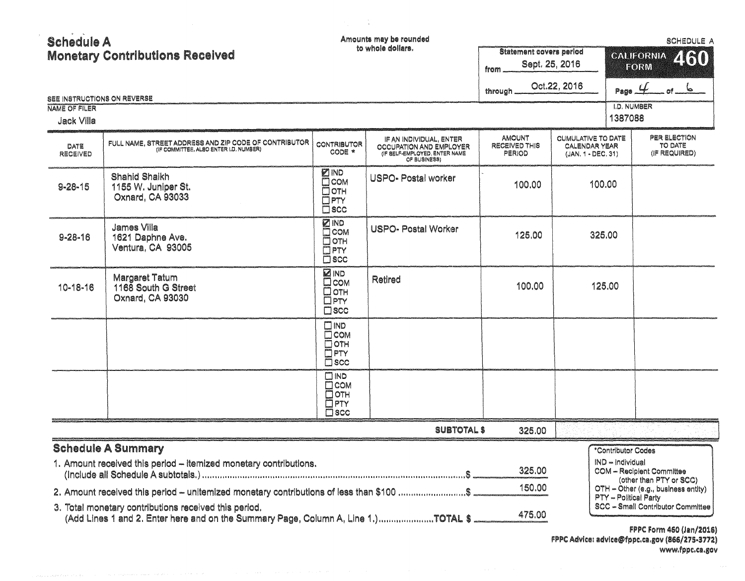| <b>Schedule A</b> |                                        |  |
|-------------------|----------------------------------------|--|
|                   | <b>Monetary Contributions Received</b> |  |

Amounts may be rounded

 $\frac{1}{\sqrt{2}}$ 

|                                    | <b>Monetary Contributions Received</b>                                                                                                            |                                                                                                | to whole dollars.                                                                                   | Statement covers period<br>from.                | Sept. 25, 2016<br>Oct.22, 2016                                   | Page $4$                               | CALIFORNIA 460<br>FORM<br>$ d$ $ +$ $-$                                  |
|------------------------------------|---------------------------------------------------------------------------------------------------------------------------------------------------|------------------------------------------------------------------------------------------------|-----------------------------------------------------------------------------------------------------|-------------------------------------------------|------------------------------------------------------------------|----------------------------------------|--------------------------------------------------------------------------|
| NAME OF FILER<br><b>Jack Villa</b> | SEE INSTRUCTIONS ON REVERSE                                                                                                                       |                                                                                                |                                                                                                     | through                                         |                                                                  | I.D. NUMBER<br>1387088                 |                                                                          |
| DATE<br>RECEIVED                   | FULL NAME, STREET ADDRESS AND ZIP CODE OF CONTRIBUTOR (IF COMMITTEE, ALSO ENTER I.D. NUMBER)                                                      | <b>CONTRIBUTOR</b><br>CODE *                                                                   | IF AN INDIVIDUAL, ENTER<br>OCCUPATION AND EMPLOYER<br>(IF BELF-EMPLOYED, ENTER NAME<br>OF BUSINESS) | <b>AMOUNT</b><br>RECEIVED THIS<br><b>PERIOD</b> | CUMULATIVE TO DATE<br><b>CALENDAR YEAR</b><br>(JAN, 1 - DEC, 31) |                                        | PER ELECTION<br>TO DATE<br>(IF REQUIRED)                                 |
| $9 - 28 - 15$                      | Shahid Shaikh<br>1155 W. Juniper St.<br>Oxnard, CA 93033                                                                                          | <b>ZIND</b><br>$\square$ COM<br><b>COTH</b><br>$\Box$ PTY<br>$\square$ scc                     | <b>USPO-Postal worker</b>                                                                           | 100.00                                          |                                                                  | 100.00                                 |                                                                          |
| $9 - 28 - 16$                      | <b>James Villa</b><br>1621 Daphne Ave.<br>Ventura, CA 93005                                                                                       | <b>ZIND</b><br>$\square$ COM<br>Оотн<br>DPTY<br>$\square$ scc                                  | <b>USPO-Postal Worker</b>                                                                           | 125,00                                          |                                                                  | 325.00                                 |                                                                          |
| 10-18-16                           | Margaret Tatum<br>1168 South G Street<br>Oxnard, CA 93030                                                                                         | <b>ZIND</b><br>$\square$ COM<br><b>Потн</b><br>$\square$ PTY<br>$\square$ scc                  | Retired                                                                                             | 100.00                                          |                                                                  | 125.00                                 |                                                                          |
|                                    |                                                                                                                                                   | $\square$ IND<br>$\square$ COM<br>$\overline{D}$ OTH<br>$\overline{\Box}$ PTY<br>$\square$ scc |                                                                                                     |                                                 |                                                                  |                                        |                                                                          |
|                                    |                                                                                                                                                   | $\square$ IND<br>$\Box$ COM<br>$\Box$ OTH<br>$\Box$ PTY<br>$\square$ scc                       |                                                                                                     |                                                 |                                                                  |                                        |                                                                          |
|                                    |                                                                                                                                                   |                                                                                                | <b>SUBTOTAL \$</b>                                                                                  | 325.00                                          |                                                                  |                                        |                                                                          |
|                                    | <b>Schedule A Summary</b><br>1. Amount received this period - itemized monetary contributions.                                                    |                                                                                                |                                                                                                     | 325.00                                          |                                                                  | *Contributor Codes<br>IND - Individual | COM - Recipient Committee<br>(other than PTY or SCC)                     |
|                                    | 2. Amount received this period - unitemized monetary contributions of less than \$100 \$<br>3. Total monetary contributions received this period. |                                                                                                |                                                                                                     | 150.00<br>475.00                                |                                                                  | PTY - Political Party                  | OTH - Other (e.g., business entity)<br>SCC - Small Contributor Committee |

FPPC Form 460 (Jan/2016)<br>FPPC Advice: advice@fppc.ca.gov (866/275-3772)<br>www.fppc.ca.gov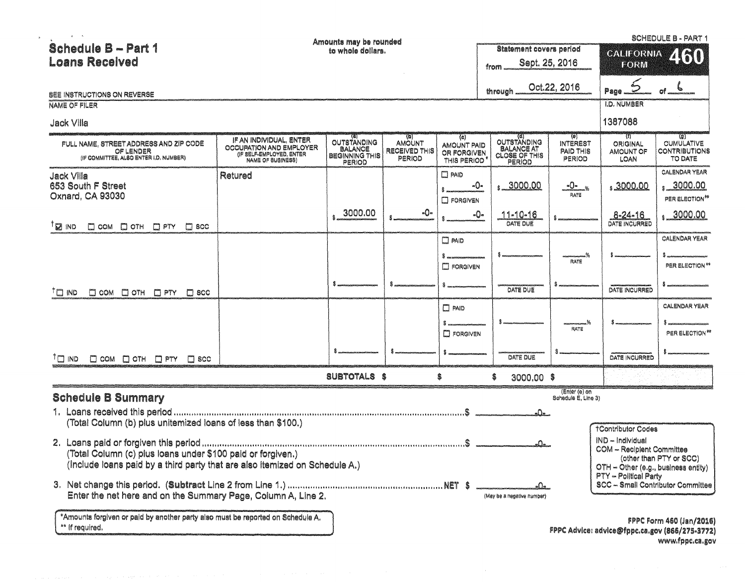| $\mathbf{u} = -\mathbf{v}_0$                                                                                                               |                                                                                                     | Amounts may be rounded                                                  |                                          |                                                         |                                                                    |                                                             |                                                                                      | <b>SCHEDULE B - PART 1</b>                                                        |
|--------------------------------------------------------------------------------------------------------------------------------------------|-----------------------------------------------------------------------------------------------------|-------------------------------------------------------------------------|------------------------------------------|---------------------------------------------------------|--------------------------------------------------------------------|-------------------------------------------------------------|--------------------------------------------------------------------------------------|-----------------------------------------------------------------------------------|
| <b>Schedule B - Part 1</b>                                                                                                                 |                                                                                                     |                                                                         | Statement covers period                  |                                                         | <b>CALIFORNIA</b>                                                  | 460                                                         |                                                                                      |                                                                                   |
| <b>Loans Recelved</b>                                                                                                                      |                                                                                                     |                                                                         |                                          |                                                         | from.                                                              | Sept. 25, 2016                                              | FORM                                                                                 |                                                                                   |
|                                                                                                                                            |                                                                                                     |                                                                         |                                          |                                                         |                                                                    | Oct.22, 2016                                                | ڪ                                                                                    |                                                                                   |
| SEE INSTRUCTIONS ON REVERSE                                                                                                                |                                                                                                     |                                                                         |                                          |                                                         | through                                                            |                                                             | Page.                                                                                |                                                                                   |
| <b>NAME OF FILER</b>                                                                                                                       |                                                                                                     |                                                                         |                                          |                                                         |                                                                    |                                                             | <b>I.D. NUMBER</b>                                                                   |                                                                                   |
| <b>Jack Villa</b>                                                                                                                          |                                                                                                     |                                                                         |                                          |                                                         |                                                                    |                                                             | 1387088                                                                              |                                                                                   |
| FULL NAME, STREET ADDRESS AND ZIP CODE<br>OF LENDER<br>(IF COMMITTEE, ALSO ENTER I.D. NUMBER)                                              | IF AN INDIVIDUAL, ENTER<br>OCCUPATION AND EMPLOYER<br>(IF BELF-EMPLOYED, ENTER<br>NAME OF BUSINESS) | <b>OUTSTANDING</b><br><b>BALANCE</b><br><b>BEGINNING THIS</b><br>PERIOD | AMOUNT<br>RECEIVED THIS<br><b>PERIOD</b> | (c)<br><b>AMOUNT PAID</b><br>OR FORGIVEN<br>THIS PERIOD | OUTSTANDING<br><b>BALANCE AT</b><br><b>CLOSE OF THIS</b><br>PERIOD | (0)<br><b>INTEREST</b><br><b>PAID THIS</b><br><b>PERIOD</b> | - (f)<br>ORIGINAL<br>AMOUNT OF<br>LOAN                                               | 79)<br><b>CUMULATIVE</b><br>CONTRIBUTIONS<br>TO DATE                              |
| <b>Jack Villa</b>                                                                                                                          | Retured                                                                                             |                                                                         |                                          | $\Box$ PAID                                             |                                                                    |                                                             |                                                                                      | <b>CALENDAR YEAR</b>                                                              |
| 653 South F Street<br>Oxnard, CA 93030                                                                                                     |                                                                                                     |                                                                         |                                          | -0-<br><b>E FORGIVEN</b>                                | \$3000.00                                                          | <u>-0-</u> %<br>RATE                                        | <u>, 3000.00</u>                                                                     | <u>, 3000.00</u><br>PER ELECTION <sup>**</sup>                                    |
| $\mathbb{Z}$ ind<br>$\square$ COM $\square$ OTH $\square$ PTY<br>$\Box$ scc                                                                |                                                                                                     | 3000.00                                                                 | -0-                                      |                                                         | -0-<br>$11 - 10 - 16$<br>DATE DUE                                  |                                                             | 8-24-16<br>DATE INCURRED                                                             | \$000.00                                                                          |
|                                                                                                                                            |                                                                                                     |                                                                         |                                          | $\Box$ PAID                                             |                                                                    |                                                             |                                                                                      | <b>CALENDAR YEAR</b>                                                              |
|                                                                                                                                            |                                                                                                     |                                                                         |                                          |                                                         |                                                                    | RATE                                                        |                                                                                      |                                                                                   |
|                                                                                                                                            |                                                                                                     |                                                                         |                                          | <b>FORGIVEN</b>                                         |                                                                    |                                                             |                                                                                      | PER ELECTION **                                                                   |
| <sup>†</sup> O IND<br>D COM D OTH D PTY D SCC                                                                                              |                                                                                                     |                                                                         |                                          |                                                         | DATE DUE                                                           |                                                             | DATE INCURRED                                                                        |                                                                                   |
|                                                                                                                                            |                                                                                                     |                                                                         |                                          | $\Box$ PAID                                             |                                                                    |                                                             |                                                                                      | <b>CALENDAR YEAR</b>                                                              |
|                                                                                                                                            |                                                                                                     |                                                                         |                                          | <b>ED FORGIVEN</b>                                      |                                                                    | RATE                                                        |                                                                                      | PER ELECTION**                                                                    |
| <sup>T</sup> E IND<br>D COM D OTH D PTY D SCC                                                                                              |                                                                                                     |                                                                         |                                          |                                                         | DATE DUE                                                           |                                                             | <b>DATE INCURRED</b>                                                                 |                                                                                   |
|                                                                                                                                            |                                                                                                     | SUBTOTALS \$                                                            |                                          |                                                         | 3000.00 \$                                                         |                                                             |                                                                                      |                                                                                   |
| <b>Schedule B Summary</b>                                                                                                                  |                                                                                                     |                                                                         |                                          |                                                         |                                                                    | (Enter (e) on<br>Schedule E, Line 3)                        |                                                                                      |                                                                                   |
| (Total Column (b) plus unitemized loans of less than \$100.)                                                                               |                                                                                                     |                                                                         |                                          |                                                         | <u>a0a.</u>                                                        |                                                             |                                                                                      |                                                                                   |
|                                                                                                                                            |                                                                                                     |                                                                         |                                          |                                                         |                                                                    |                                                             | <b>†Contributor Codes</b>                                                            |                                                                                   |
| (Total Column (c) plus loans under \$100 paid or forgiven.)<br>(include loans paid by a third party that are also itemized on Schedule A.) |                                                                                                     |                                                                         |                                          |                                                         | ستەك                                                               |                                                             | IND - Individual<br>COM - Recipient Committee<br>OTH - Other (e.g., business entity) | (other than PTY or SCC)                                                           |
| Enter the net here and on the Summary Page, Column A, Line 2.                                                                              |                                                                                                     |                                                                         |                                          |                                                         | alla .<br>(May be a negative number)                               |                                                             | PTY - Political Party                                                                | SCC -- Small Contributor Committee                                                |
| *Amounts forgiven or paid by another party also must be reported on Schedule A.<br>** If required.                                         |                                                                                                     |                                                                         |                                          |                                                         |                                                                    |                                                             |                                                                                      | <b>FPPC Form 460 (Jan/2016)</b><br>FPPC Advice: advice@fppc.ca.gov (866/275-3772) |

 $\mathbf{s}$  .

www.fppc.ca.gov